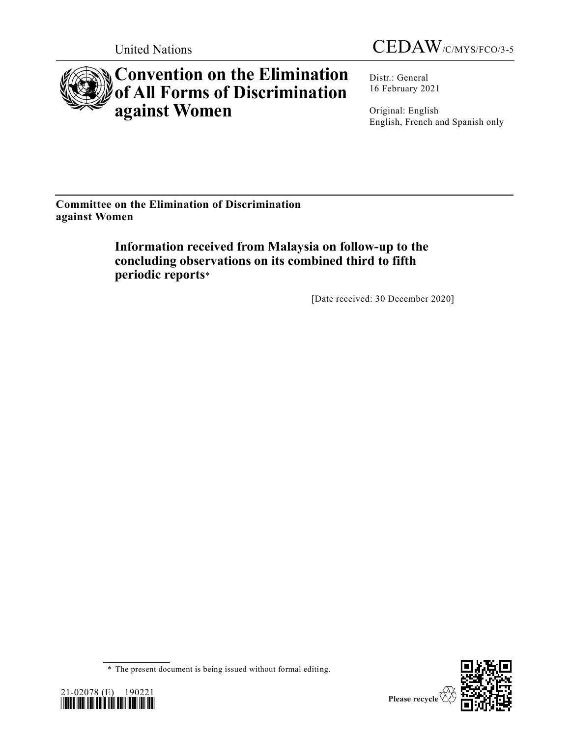



# **Convention on the Elimination of All Forms of Discrimination against Women**

Distr.: General 16 February 2021

Original: English English, French and Spanish only

**Committee on the Elimination of Discrimination against Women**

> **Information received from Malaysia on follow-up to the concluding observations on its combined third to fifth periodic reports**\*

> > [Date received: 30 December 2020]

<sup>\*</sup> The present document is being issued without formal editing.



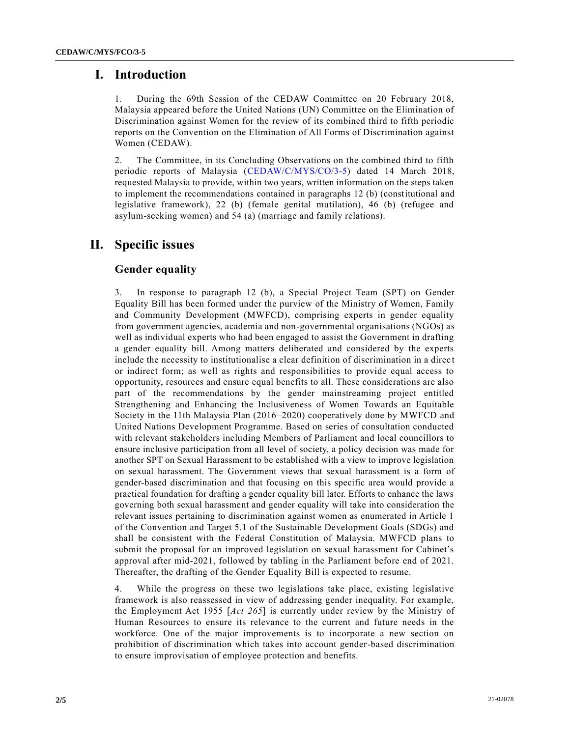## **I. Introduction**

1. During the 69th Session of the CEDAW Committee on 20 February 2018, Malaysia appeared before the United Nations (UN) Committee on the Elimination of Discrimination against Women for the review of its combined third to fifth periodic reports on the Convention on the Elimination of All Forms of Discrimination against Women (CEDAW).

2. The Committee, in its Concluding Observations on the combined third to fifth periodic reports of Malaysia [\(CEDAW/C/MYS/CO/3-5\)](https://undocs.org/en/CEDAW/C/MYS/CO/3-5) dated 14 March 2018, requested Malaysia to provide, within two years, written information on the steps taken to implement the recommendations contained in paragraphs 12 (b) (constitutional and legislative framework), 22 (b) (female genital mutilation), 46 (b) (refugee and asylum-seeking women) and 54 (a) (marriage and family relations).

## **II. Specific issues**

### **Gender equality**

3. In response to paragraph 12 (b), a Special Project Team (SPT) on Gender Equality Bill has been formed under the purview of the Ministry of Women, Family and Community Development (MWFCD), comprising experts in gender equality from government agencies, academia and non-governmental organisations (NGOs) as well as individual experts who had been engaged to assist the Government in drafting a gender equality bill. Among matters deliberated and considered by the experts include the necessity to institutionalise a clear definition of discrimination in a direct or indirect form; as well as rights and responsibilities to provide equal access to opportunity, resources and ensure equal benefits to all. These considerations are also part of the recommendations by the gender mainstreaming project entitled Strengthening and Enhancing the Inclusiveness of Women Towards an Equitable Society in the 11th Malaysia Plan (2016–2020) cooperatively done by MWFCD and United Nations Development Programme. Based on series of consultation conducted with relevant stakeholders including Members of Parliament and local councillors to ensure inclusive participation from all level of society, a policy decision was made for another SPT on Sexual Harassment to be established with a view to improve legislation on sexual harassment. The Government views that sexual harassment is a form of gender-based discrimination and that focusing on this specific area would provide a practical foundation for drafting a gender equality bill later. Efforts to enhance the laws governing both sexual harassment and gender equality will take into consideration the relevant issues pertaining to discrimination against women as enumerated in Article 1 of the Convention and Target 5.1 of the Sustainable Development Goals (SDGs) and shall be consistent with the Federal Constitution of Malaysia. MWFCD plans to submit the proposal for an improved legislation on sexual harassment for Cabinet's approval after mid-2021, followed by tabling in the Parliament before end of 2021. Thereafter, the drafting of the Gender Equality Bill is expected to resume.

4. While the progress on these two legislations take place, existing legislative framework is also reassessed in view of addressing gender inequality. For example, the Employment Act 1955 [*Act 265*] is currently under review by the Ministry of Human Resources to ensure its relevance to the current and future needs in the workforce. One of the major improvements is to incorporate a new section on prohibition of discrimination which takes into account gender-based discrimination to ensure improvisation of employee protection and benefits.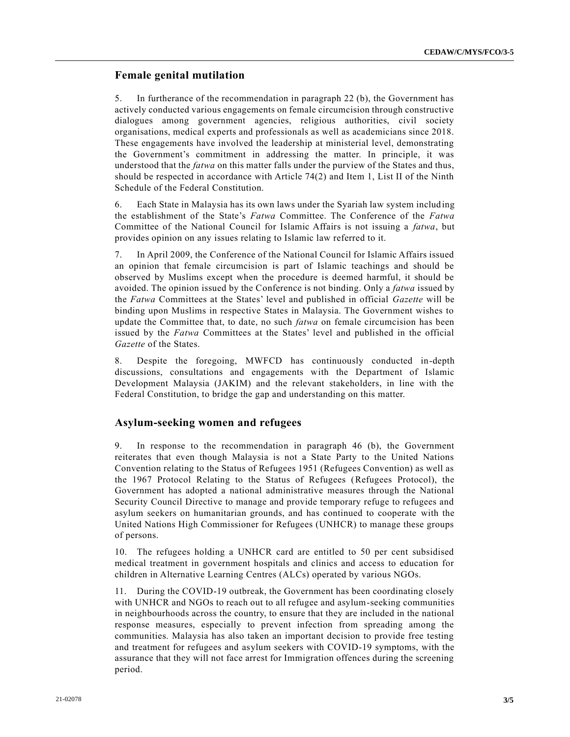### **Female genital mutilation**

5. In furtherance of the recommendation in paragraph 22 (b), the Government has actively conducted various engagements on female circumcision through constructive dialogues among government agencies, religious authorities, civil society organisations, medical experts and professionals as well as academicians since 2018. These engagements have involved the leadership at ministerial level, demonstrating the Government's commitment in addressing the matter. In principle, it was understood that the *fatwa* on this matter falls under the purview of the States and thus, should be respected in accordance with Article 74(2) and Item 1, List II of the Ninth Schedule of the Federal Constitution.

6. Each State in Malaysia has its own laws under the Syariah law system including the establishment of the State's *Fatwa* Committee. The Conference of the *Fatwa* Committee of the National Council for Islamic Affairs is not issuing a *fatwa*, but provides opinion on any issues relating to Islamic law referred to it.

7. In April 2009, the Conference of the National Council for Islamic Affairs issued an opinion that female circumcision is part of Islamic teachings and should be observed by Muslims except when the procedure is deemed harmful, it should be avoided. The opinion issued by the Conference is not binding. Only a *fatwa* issued by the *Fatwa* Committees at the States' level and published in official *Gazette* will be binding upon Muslims in respective States in Malaysia. The Government wishes to update the Committee that, to date, no such *fatwa* on female circumcision has been issued by the *Fatwa* Committees at the States' level and published in the official *Gazette* of the States.

8. Despite the foregoing, MWFCD has continuously conducted in-depth discussions, consultations and engagements with the Department of Islamic Development Malaysia (JAKIM) and the relevant stakeholders, in line with the Federal Constitution, to bridge the gap and understanding on this matter.

#### **Asylum-seeking women and refugees**

9. In response to the recommendation in paragraph 46 (b), the Government reiterates that even though Malaysia is not a State Party to the United Nations Convention relating to the Status of Refugees 1951 (Refugees Convention) as well as the 1967 Protocol Relating to the Status of Refugees (Refugees Protocol), the Government has adopted a national administrative measures through the National Security Council Directive to manage and provide temporary refuge to refugees and asylum seekers on humanitarian grounds, and has continued to cooperate with the United Nations High Commissioner for Refugees (UNHCR) to manage these groups of persons.

10. The refugees holding a UNHCR card are entitled to 50 per cent subsidised medical treatment in government hospitals and clinics and access to education for children in Alternative Learning Centres (ALCs) operated by various NGOs.

11. During the COVID-19 outbreak, the Government has been coordinating closely with UNHCR and NGOs to reach out to all refugee and asylum-seeking communities in neighbourhoods across the country, to ensure that they are included in the national response measures, especially to prevent infection from spreading among the communities. Malaysia has also taken an important decision to provide free testing and treatment for refugees and asylum seekers with COVID-19 symptoms, with the assurance that they will not face arrest for Immigration offences during the screening period.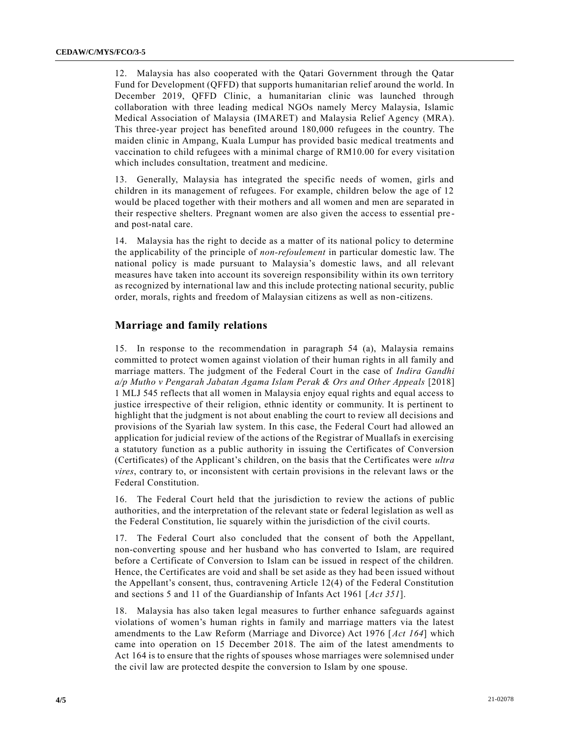12. Malaysia has also cooperated with the Qatari Government through the Qatar Fund for Development (QFFD) that supports humanitarian relief around the world. In December 2019, QFFD Clinic, a humanitarian clinic was launched through collaboration with three leading medical NGOs namely Mercy Malaysia, Islamic Medical Association of Malaysia (IMARET) and Malaysia Relief Agency (MRA). This three-year project has benefited around 180,000 refugees in the country. The maiden clinic in Ampang, Kuala Lumpur has provided basic medical treatments and vaccination to child refugees with a minimal charge of RM10.00 for every visitation which includes consultation, treatment and medicine.

13. Generally, Malaysia has integrated the specific needs of women, girls and children in its management of refugees. For example, children below the age of 12 would be placed together with their mothers and all women and men are separated in their respective shelters. Pregnant women are also given the access to essential pre and post-natal care.

14. Malaysia has the right to decide as a matter of its national policy to determine the applicability of the principle of *non-refoulement* in particular domestic law. The national policy is made pursuant to Malaysia's domestic laws, and all relevant measures have taken into account its sovereign responsibility within its own territory as recognized by international law and this include protecting national security, public order, morals, rights and freedom of Malaysian citizens as well as non-citizens.

#### **Marriage and family relations**

15. In response to the recommendation in paragraph 54 (a), Malaysia remains committed to protect women against violation of their human rights in all family and marriage matters. The judgment of the Federal Court in the case of *Indira Gandhi a/p Mutho v Pengarah Jabatan Agama Islam Perak & Ors and Other Appeals* [2018] 1 MLJ 545 reflects that all women in Malaysia enjoy equal rights and equal access to justice irrespective of their religion, ethnic identity or community. It is pertinent to highlight that the judgment is not about enabling the court to review all decisions and provisions of the Syariah law system. In this case, the Federal Court had allowed an application for judicial review of the actions of the Registrar of Muallafs in exercising a statutory function as a public authority in issuing the Certificates of Conversion (Certificates) of the Applicant's children, on the basis that the Certificates were *ultra vires*, contrary to, or inconsistent with certain provisions in the relevant laws or the Federal Constitution.

16. The Federal Court held that the jurisdiction to review the actions of public authorities, and the interpretation of the relevant state or federal legislation as well as the Federal Constitution, lie squarely within the jurisdiction of the civil courts.

17. The Federal Court also concluded that the consent of both the Appellant, non-converting spouse and her husband who has converted to Islam, are required before a Certificate of Conversion to Islam can be issued in respect of the children. Hence, the Certificates are void and shall be set aside as they had been issued without the Appellant's consent, thus, contravening Article 12(4) of the Federal Constitution and sections 5 and 11 of the Guardianship of Infants Act 1961 [*Act 351*].

18. Malaysia has also taken legal measures to further enhance safeguards against violations of women's human rights in family and marriage matters via the latest amendments to the Law Reform (Marriage and Divorce) Act 1976 [*Act 164*] which came into operation on 15 December 2018. The aim of the latest amendments to Act 164 is to ensure that the rights of spouses whose marriages were solemnised under the civil law are protected despite the conversion to Islam by one spouse.